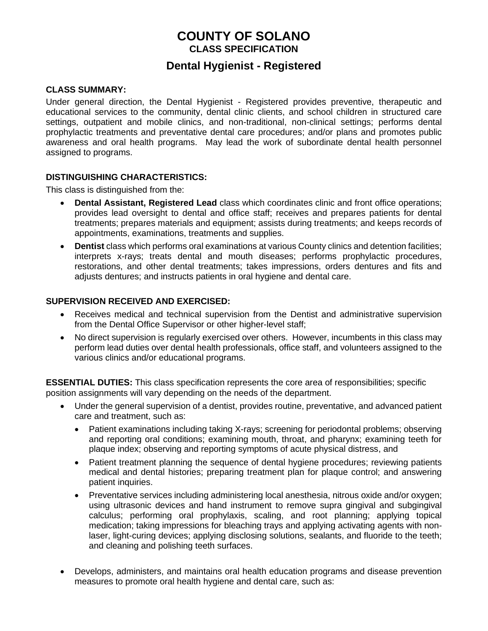# **COUNTY OF SOLANO CLASS SPECIFICATION**

# **Dental Hygienist - Registered**

#### **CLASS SUMMARY:**

Under general direction, the Dental Hygienist - Registered provides preventive, therapeutic and educational services to the community, dental clinic clients, and school children in structured care settings, outpatient and mobile clinics, and non-traditional, non-clinical settings; performs dental prophylactic treatments and preventative dental care procedures; and/or plans and promotes public awareness and oral health programs. May lead the work of subordinate dental health personnel assigned to programs.

#### **DISTINGUISHING CHARACTERISTICS:**

This class is distinguished from the:

- **Dental Assistant, Registered Lead** class which coordinates clinic and front office operations; provides lead oversight to dental and office staff; receives and prepares patients for dental treatments; prepares materials and equipment; assists during treatments; and keeps records of appointments, examinations, treatments and supplies.
- **Dentist** class which performs oral examinations at various County clinics and detention facilities; interprets x-rays; treats dental and mouth diseases; performs prophylactic procedures, restorations, and other dental treatments; takes impressions, orders dentures and fits and adjusts dentures; and instructs patients in oral hygiene and dental care.

#### **SUPERVISION RECEIVED AND EXERCISED:**

- Receives medical and technical supervision from the Dentist and administrative supervision from the Dental Office Supervisor or other higher-level staff;
- No direct supervision is regularly exercised over others. However, incumbents in this class may perform lead duties over dental health professionals, office staff, and volunteers assigned to the various clinics and/or educational programs.

**ESSENTIAL DUTIES:** This class specification represents the core area of responsibilities; specific position assignments will vary depending on the needs of the department.

- Under the general supervision of a dentist, provides routine, preventative, and advanced patient care and treatment, such as:
	- Patient examinations including taking X-rays; screening for periodontal problems; observing and reporting oral conditions; examining mouth, throat, and pharynx; examining teeth for plaque index; observing and reporting symptoms of acute physical distress, and
	- Patient treatment planning the sequence of dental hygiene procedures; reviewing patients medical and dental histories; preparing treatment plan for plaque control; and answering patient inquiries.
	- Preventative services including administering local anesthesia, nitrous oxide and/or oxygen; using ultrasonic devices and hand instrument to remove supra gingival and subgingival calculus; performing oral prophylaxis, scaling, and root planning; applying topical medication; taking impressions for bleaching trays and applying activating agents with nonlaser, light-curing devices; applying disclosing solutions, sealants, and fluoride to the teeth; and cleaning and polishing teeth surfaces.
- Develops, administers, and maintains oral health education programs and disease prevention measures to promote oral health hygiene and dental care, such as: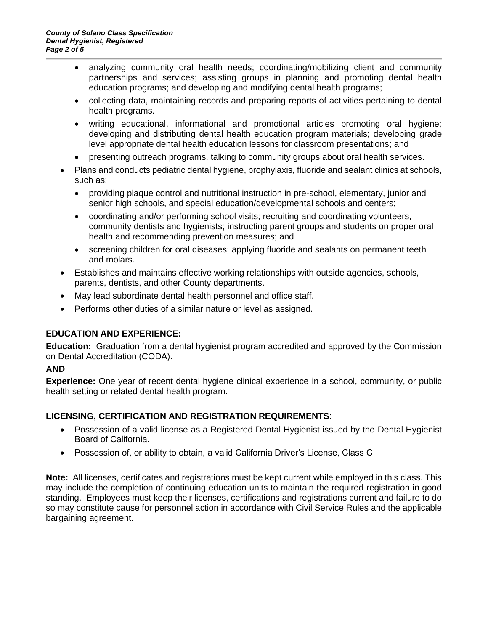- analyzing community oral health needs; coordinating/mobilizing client and community partnerships and services; assisting groups in planning and promoting dental health education programs; and developing and modifying dental health programs;
- collecting data, maintaining records and preparing reports of activities pertaining to dental health programs.
- writing educational, informational and promotional articles promoting oral hygiene; developing and distributing dental health education program materials; developing grade level appropriate dental health education lessons for classroom presentations; and
- presenting outreach programs, talking to community groups about oral health services.
- Plans and conducts pediatric dental hygiene, prophylaxis, fluoride and sealant clinics at schools, such as:
	- providing plaque control and nutritional instruction in pre-school, elementary, junior and senior high schools, and special education/developmental schools and centers;
	- coordinating and/or performing school visits; recruiting and coordinating volunteers, community dentists and hygienists; instructing parent groups and students on proper oral health and recommending prevention measures; and
	- screening children for oral diseases; applying fluoride and sealants on permanent teeth and molars.
- Establishes and maintains effective working relationships with outside agencies, schools, parents, dentists, and other County departments.
- May lead subordinate dental health personnel and office staff.
- Performs other duties of a similar nature or level as assigned.

### **EDUCATION AND EXPERIENCE:**

**Education:** Graduation from a dental hygienist program accredited and approved by the Commission on Dental Accreditation (CODA).

#### **AND**

**Experience:** One year of recent dental hygiene clinical experience in a school, community, or public health setting or related dental health program.

### **LICENSING, CERTIFICATION AND REGISTRATION REQUIREMENTS**:

- Possession of a valid license as a Registered Dental Hygienist issued by the Dental Hygienist Board of California.
- Possession of, or ability to obtain, a valid California Driver's License, Class C

**Note:** All licenses, certificates and registrations must be kept current while employed in this class. This may include the completion of continuing education units to maintain the required registration in good standing. Employees must keep their licenses, certifications and registrations current and failure to do so may constitute cause for personnel action in accordance with Civil Service Rules and the applicable bargaining agreement.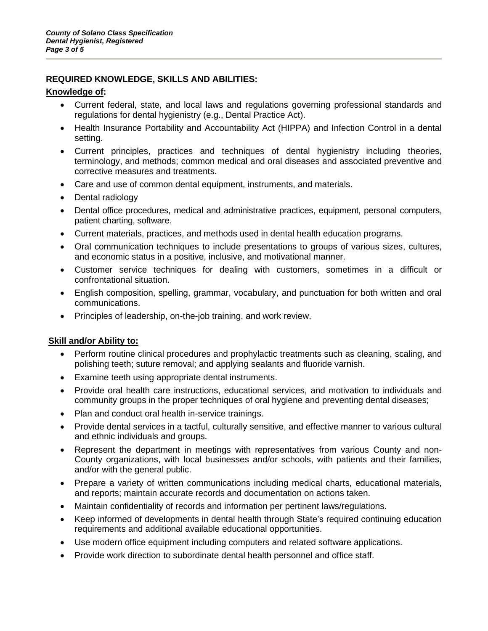### **REQUIRED KNOWLEDGE, SKILLS AND ABILITIES:**

#### **Knowledge of:**

- Current federal, state, and local laws and regulations governing professional standards and regulations for dental hygienistry (e.g., Dental Practice Act).
- Health Insurance Portability and Accountability Act (HIPPA) and Infection Control in a dental setting.
- Current principles, practices and techniques of dental hygienistry including theories, terminology, and methods; common medical and oral diseases and associated preventive and corrective measures and treatments.
- Care and use of common dental equipment, instruments, and materials.
- Dental radiology
- Dental office procedures, medical and administrative practices, equipment, personal computers, patient charting, software.
- Current materials, practices, and methods used in dental health education programs.
- Oral communication techniques to include presentations to groups of various sizes, cultures, and economic status in a positive, inclusive, and motivational manner.
- Customer service techniques for dealing with customers, sometimes in a difficult or confrontational situation.
- English composition, spelling, grammar, vocabulary, and punctuation for both written and oral communications.
- Principles of leadership, on-the-job training, and work review.

### **Skill and/or Ability to:**

- Perform routine clinical procedures and prophylactic treatments such as cleaning, scaling, and polishing teeth; suture removal; and applying sealants and fluoride varnish.
- Examine teeth using appropriate dental instruments.
- Provide oral health care instructions, educational services, and motivation to individuals and community groups in the proper techniques of oral hygiene and preventing dental diseases;
- Plan and conduct oral health in-service trainings.
- Provide dental services in a tactful, culturally sensitive, and effective manner to various cultural and ethnic individuals and groups.
- Represent the department in meetings with representatives from various County and non-County organizations, with local businesses and/or schools, with patients and their families, and/or with the general public.
- Prepare a variety of written communications including medical charts, educational materials, and reports; maintain accurate records and documentation on actions taken.
- Maintain confidentiality of records and information per pertinent laws/regulations.
- Keep informed of developments in dental health through State's required continuing education requirements and additional available educational opportunities.
- Use modern office equipment including computers and related software applications.
- Provide work direction to subordinate dental health personnel and office staff.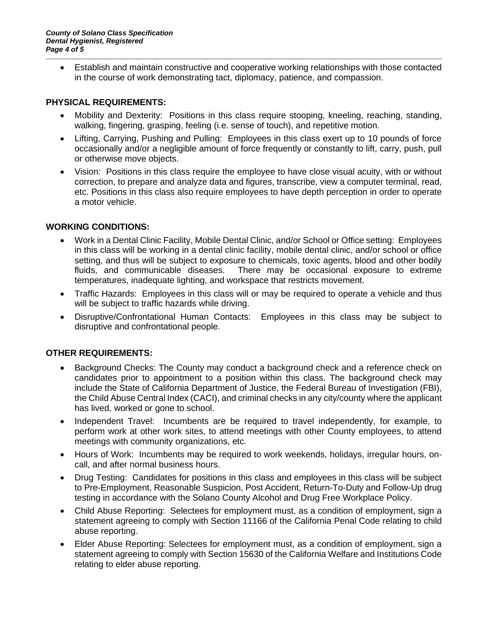• Establish and maintain constructive and cooperative working relationships with those contacted in the course of work demonstrating tact, diplomacy, patience, and compassion.

#### **PHYSICAL REQUIREMENTS:**

- Mobility and Dexterity: Positions in this class require stooping, kneeling, reaching, standing, walking, fingering, grasping, feeling (i.e. sense of touch), and repetitive motion.
- Lifting, Carrying, Pushing and Pulling: Employees in this class exert up to 10 pounds of force occasionally and/or a negligible amount of force frequently or constantly to lift, carry, push, pull or otherwise move objects.
- Vision: Positions in this class require the employee to have close visual acuity, with or without correction, to prepare and analyze data and figures, transcribe, view a computer terminal, read, etc. Positions in this class also require employees to have depth perception in order to operate a motor vehicle.

#### **WORKING CONDITIONS:**

- Work in a Dental Clinic Facility, Mobile Dental Clinic, and/or School or Office setting: Employees in this class will be working in a dental clinic facility, mobile dental clinic, and/or school or office setting, and thus will be subject to exposure to chemicals, toxic agents, blood and other bodily fluids, and communicable diseases.There may be occasional exposure to extreme temperatures, inadequate lighting, and workspace that restricts movement.
- Traffic Hazards: Employees in this class will or may be required to operate a vehicle and thus will be subject to traffic hazards while driving.
- Disruptive/Confrontational Human Contacts: Employees in this class may be subject to disruptive and confrontational people.

### **OTHER REQUIREMENTS:**

- Background Checks: The County may conduct a background check and a reference check on candidates prior to appointment to a position within this class. The background check may include the State of California Department of Justice, the Federal Bureau of Investigation (FBI), the Child Abuse Central Index (CACI), and criminal checks in any city/county where the applicant has lived, worked or gone to school.
- Independent Travel: Incumbents are be required to travel independently, for example, to perform work at other work sites, to attend meetings with other County employees, to attend meetings with community organizations, etc.
- Hours of Work: Incumbents may be required to work weekends, holidays, irregular hours, oncall, and after normal business hours.
- Drug Testing: Candidates for positions in this class and employees in this class will be subject to Pre-Employment, Reasonable Suspicion, Post Accident, Return-To-Duty and Follow-Up drug testing in accordance with the Solano County Alcohol and Drug Free Workplace Policy.
- Child Abuse Reporting: Selectees for employment must, as a condition of employment, sign a statement agreeing to comply with Section 11166 of the California Penal Code relating to child abuse reporting.
- Elder Abuse Reporting: Selectees for employment must, as a condition of employment, sign a statement agreeing to comply with Section 15630 of the California Welfare and Institutions Code relating to elder abuse reporting.